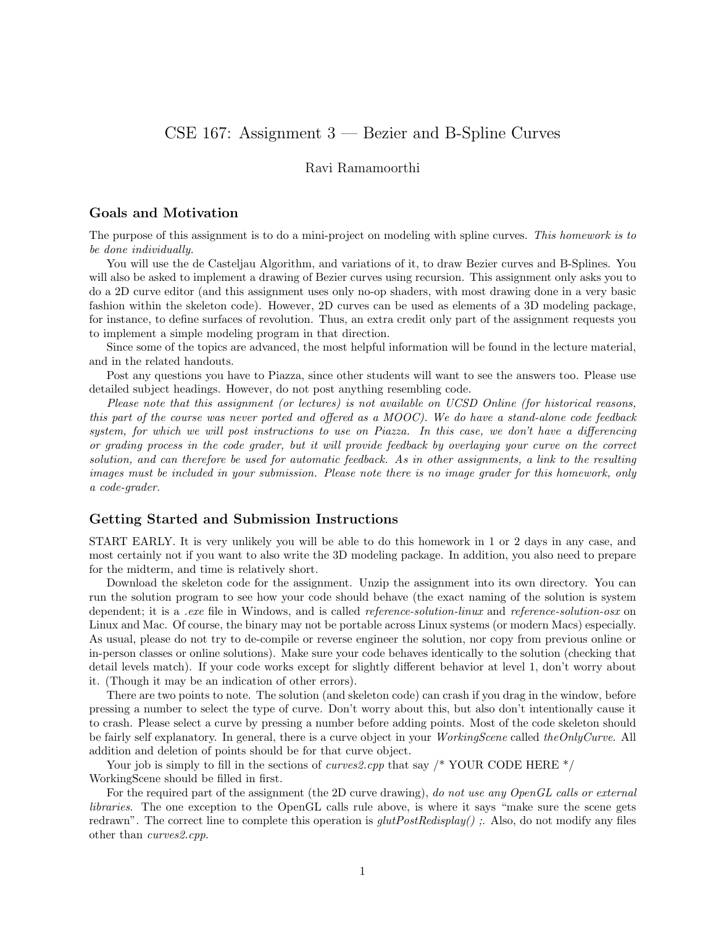# CSE 167: Assignment 3 — Bezier and B-Spline Curves

### Ravi Ramamoorthi

#### Goals and Motivation

The purpose of this assignment is to do a mini-project on modeling with spline curves. This homework is to be done individually.

You will use the de Casteljau Algorithm, and variations of it, to draw Bezier curves and B-Splines. You will also be asked to implement a drawing of Bezier curves using recursion. This assignment only asks you to do a 2D curve editor (and this assignment uses only no-op shaders, with most drawing done in a very basic fashion within the skeleton code). However, 2D curves can be used as elements of a 3D modeling package, for instance, to define surfaces of revolution. Thus, an extra credit only part of the assignment requests you to implement a simple modeling program in that direction.

Since some of the topics are advanced, the most helpful information will be found in the lecture material, and in the related handouts.

Post any questions you have to Piazza, since other students will want to see the answers too. Please use detailed subject headings. However, do not post anything resembling code.

Please note that this assignment (or lectures) is not available on UCSD Online (for historical reasons, this part of the course was never ported and offered as a MOOC). We do have a stand-alone code feedback system, for which we will post instructions to use on Piazza. In this case, we don't have a differencing or grading process in the code grader, but it will provide feedback by overlaying your curve on the correct solution, and can therefore be used for automatic feedback. As in other assignments, a link to the resulting images must be included in your submission. Please note there is no image grader for this homework, only a code-grader.

#### Getting Started and Submission Instructions

START EARLY. It is very unlikely you will be able to do this homework in 1 or 2 days in any case, and most certainly not if you want to also write the 3D modeling package. In addition, you also need to prepare for the midterm, and time is relatively short.

Download the skeleton code for the assignment. Unzip the assignment into its own directory. You can run the solution program to see how your code should behave (the exact naming of the solution is system dependent; it is a *.exe* file in Windows, and is called *reference-solution-linux* and *reference-solution-osx* on Linux and Mac. Of course, the binary may not be portable across Linux systems (or modern Macs) especially. As usual, please do not try to de-compile or reverse engineer the solution, nor copy from previous online or in-person classes or online solutions). Make sure your code behaves identically to the solution (checking that detail levels match). If your code works except for slightly different behavior at level 1, don't worry about it. (Though it may be an indication of other errors).

There are two points to note. The solution (and skeleton code) can crash if you drag in the window, before pressing a number to select the type of curve. Don't worry about this, but also don't intentionally cause it to crash. Please select a curve by pressing a number before adding points. Most of the code skeleton should be fairly self explanatory. In general, there is a curve object in your WorkingScene called theOnlyCurve. All addition and deletion of points should be for that curve object.

Your job is simply to fill in the sections of *curves2.cpp* that say  $/*$  YOUR CODE HERE  $*/$ WorkingScene should be filled in first.

For the required part of the assignment (the 2D curve drawing), do not use any OpenGL calls or external libraries. The one exception to the OpenGL calls rule above, is where it says "make sure the scene gets redrawn". The correct line to complete this operation is  $glutPostRedisplay()$ ;. Also, do not modify any files other than curves2.cpp.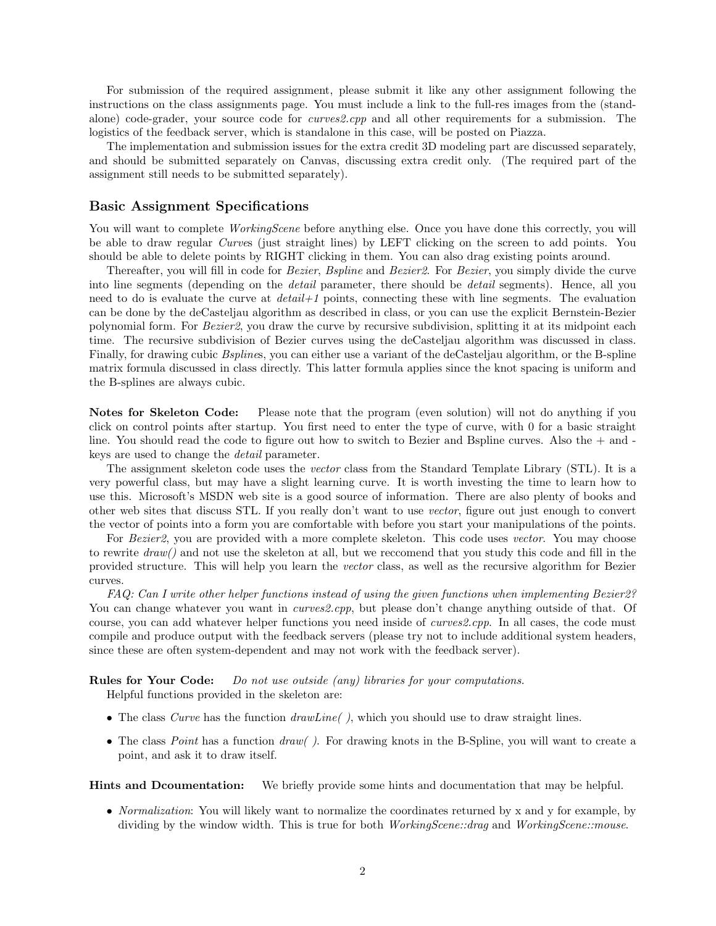For submission of the required assignment, please submit it like any other assignment following the instructions on the class assignments page. You must include a link to the full-res images from the (standalone) code-grader, your source code for curves2.cpp and all other requirements for a submission. The logistics of the feedback server, which is standalone in this case, will be posted on Piazza.

The implementation and submission issues for the extra credit 3D modeling part are discussed separately, and should be submitted separately on Canvas, discussing extra credit only. (The required part of the assignment still needs to be submitted separately).

#### Basic Assignment Specifications

You will want to complete *WorkingScene* before anything else. Once you have done this correctly, you will be able to draw regular Curves (just straight lines) by LEFT clicking on the screen to add points. You should be able to delete points by RIGHT clicking in them. You can also drag existing points around.

Thereafter, you will fill in code for *Bezier*, *Bspline* and *Bezier2*. For *Bezier*, you simply divide the curve into line segments (depending on the *detail* parameter, there should be *detail* segments). Hence, all you need to do is evaluate the curve at  $detail+1$  points, connecting these with line segments. The evaluation can be done by the deCasteljau algorithm as described in class, or you can use the explicit Bernstein-Bezier polynomial form. For Bezier2, you draw the curve by recursive subdivision, splitting it at its midpoint each time. The recursive subdivision of Bezier curves using the deCasteljau algorithm was discussed in class. Finally, for drawing cubic *Bsplines*, you can either use a variant of the deCasteljau algorithm, or the B-spline matrix formula discussed in class directly. This latter formula applies since the knot spacing is uniform and the B-splines are always cubic.

Notes for Skeleton Code: Please note that the program (even solution) will not do anything if you click on control points after startup. You first need to enter the type of curve, with 0 for a basic straight line. You should read the code to figure out how to switch to Bezier and Bspline curves. Also the  $+$  and keys are used to change the detail parameter.

The assignment skeleton code uses the vector class from the Standard Template Library (STL). It is a very powerful class, but may have a slight learning curve. It is worth investing the time to learn how to use this. Microsoft's MSDN web site is a good source of information. There are also plenty of books and other web sites that discuss STL. If you really don't want to use vector, figure out just enough to convert the vector of points into a form you are comfortable with before you start your manipulations of the points.

For Bezier<sub>2</sub>, you are provided with a more complete skeleton. This code uses vector. You may choose to rewrite  $draw()$  and not use the skeleton at all, but we reccomend that you study this code and fill in the provided structure. This will help you learn the vector class, as well as the recursive algorithm for Bezier curves.

FAQ: Can I write other helper functions instead of using the given functions when implementing Bezier2? You can change whatever you want in *curves2.cpp*, but please don't change anything outside of that. Of course, you can add whatever helper functions you need inside of *curves2.cpp*. In all cases, the code must compile and produce output with the feedback servers (please try not to include additional system headers, since these are often system-dependent and may not work with the feedback server).

Rules for Your Code: Do not use outside (any) libraries for your computations. Helpful functions provided in the skeleton are:

- The class Curve has the function  $drawLine($ , which you should use to draw straight lines.
- The class *Point* has a function  $draw()$ . For drawing knots in the B-Spline, you will want to create a point, and ask it to draw itself.

Hints and Dcoumentation: We briefly provide some hints and documentation that may be helpful.

• *Normalization*: You will likely want to normalize the coordinates returned by x and y for example, by dividing by the window width. This is true for both WorkingScene::drag and WorkingScene::mouse.